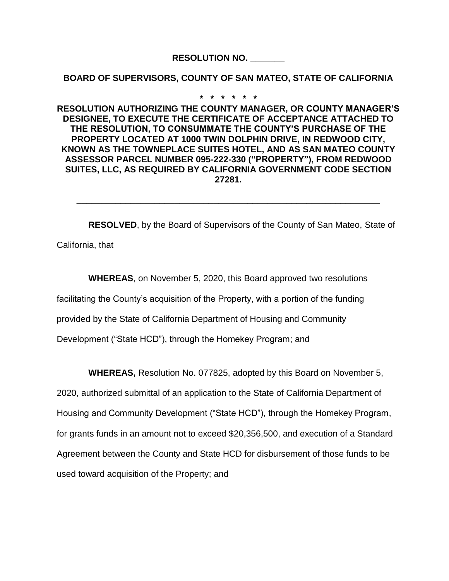**RESOLUTION NO. \_\_\_\_\_\_\_**

**BOARD OF SUPERVISORS, COUNTY OF SAN MATEO, STATE OF CALIFORNIA**

**\* \* \* \* \* \***

**RESOLUTION AUTHORIZING THE COUNTY MANAGER, OR COUNTY MANAGER'S DESIGNEE, TO EXECUTE THE CERTIFICATE OF ACCEPTANCE ATTACHED TO THE RESOLUTION, TO CONSUMMATE THE COUNTY'S PURCHASE OF THE PROPERTY LOCATED AT 1000 TWIN DOLPHIN DRIVE, IN REDWOOD CITY, KNOWN AS THE TOWNEPLACE SUITES HOTEL, AND AS SAN MATEO COUNTY ASSESSOR PARCEL NUMBER 095-222-330 ("PROPERTY"), FROM REDWOOD SUITES, LLC, AS REQUIRED BY CALIFORNIA GOVERNMENT CODE SECTION 27281.**

**RESOLVED**, by the Board of Supervisors of the County of San Mateo, State of California, that

**\_\_\_\_\_\_\_\_\_\_\_\_\_\_\_\_\_\_\_\_\_\_\_\_\_\_\_\_\_\_\_\_\_\_\_\_\_\_\_\_\_\_\_\_\_\_\_\_\_\_\_\_\_\_\_\_\_\_\_\_\_\_**

**WHEREAS**, on November 5, 2020, this Board approved two resolutions facilitating the County's acquisition of the Property, with a portion of the funding provided by the State of California Department of Housing and Community Development ("State HCD"), through the Homekey Program; and

**WHEREAS,** Resolution No. 077825, adopted by this Board on November 5,

2020, authorized submittal of an application to the State of California Department of Housing and Community Development ("State HCD"), through the Homekey Program, for grants funds in an amount not to exceed \$20,356,500, and execution of a Standard Agreement between the County and State HCD for disbursement of those funds to be used toward acquisition of the Property; and